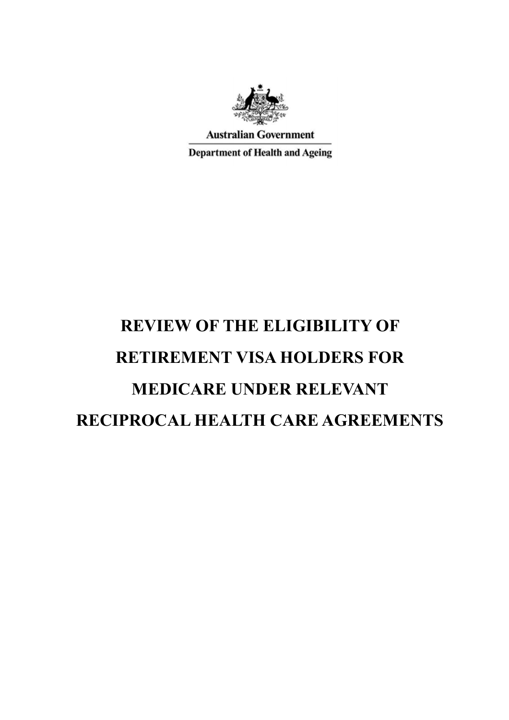

**Australian Government** 

**Department of Health and Ageing** 

# **REVIEW OF THE ELIGIBILITY OF RETIREMENT VISA HOLDERS FOR MEDICARE UNDER RELEVANT RECIPROCAL HEALTH CARE AGREEMENTS**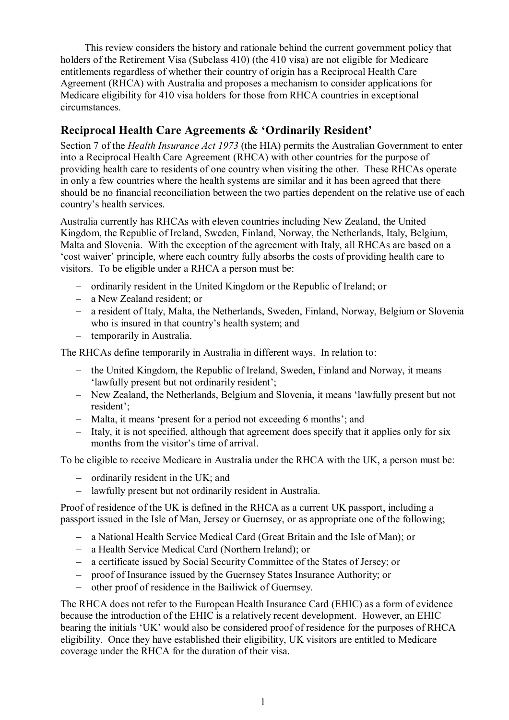This review considers the history and rationale behind the current government policy that holders of the Retirement Visa (Subclass 410) (the 410 visa) are not eligible for Medicare entitlements regardless of whether their country of origin has a Reciprocal Health Care Agreement (RHCA) with Australia and proposes a mechanism to consider applications for Medicare eligibility for 410 visa holders for those from RHCA countries in exceptional circumstances.

# **Reciprocal Health Care Agreements & 'Ordinarily Resident'**

Section 7 of the *Health Insurance Act 1973* (the HIA) permits the Australian Government to enter into a Reciprocal Health Care Agreement (RHCA) with other countries for the purpose of providing health care to residents of one country when visiting the other. These RHCAs operate in only a few countries where the health systems are similar and it has been agreed that there should be no financial reconciliation between the two parties dependent on the relative use of each country's health services.

Australia currently has RHCAs with eleven countries including New Zealand, the United Kingdom, the Republic of Ireland, Sweden, Finland, Norway, the Netherlands, Italy, Belgium, Malta and Slovenia. With the exception of the agreement with Italy, all RHCAs are based on a 'cost waiver' principle, where each country fully absorbs the costs of providing health care to visitors. To be eligible under a RHCA a person must be:

- ordinarily resident in the United Kingdom or the Republic of Ireland; or
- a New Zealand resident; or
- a resident of Italy, Malta, the Netherlands, Sweden, Finland, Norway, Belgium or Slovenia who is insured in that country's health system; and
- temporarily in Australia.

The RHCAs define temporarily in Australia in different ways. In relation to:

- the United Kingdom, the Republic of Ireland, Sweden, Finland and Norway, it means 'lawfully present but not ordinarily resident';
- New Zealand, the Netherlands, Belgium and Slovenia, it means 'lawfully present but not resident';
- Malta, it means 'present for a period not exceeding 6 months'; and
- Italy, it is not specified, although that agreement does specify that it applies only for six months from the visitor's time of arrival.

To be eligible to receive Medicare in Australia under the RHCA with the UK, a person must be:

- ordinarily resident in the UK; and
- lawfully present but not ordinarily resident in Australia.

Proof of residence of the UK is defined in the RHCA as a current UK passport, including a passport issued in the Isle of Man, Jersey or Guernsey, or as appropriate one of the following;

- a National Health Service Medical Card (Great Britain and the Isle of Man); or
- a Health Service Medical Card (Northern Ireland); or
- a certificate issued by Social Security Committee of the States of Jersey; or
- proof of Insurance issued by the Guernsey States Insurance Authority; or
- other proof of residence in the Bailiwick of Guernsey.

The RHCA does not refer to the European Health Insurance Card (EHIC) as a form of evidence because the introduction of the EHIC is a relatively recent development. However, an EHIC bearing the initials 'UK' would also be considered proof of residence for the purposes of RHCA eligibility. Once they have established their eligibility, UK visitors are entitled to Medicare coverage under the RHCA for the duration of their visa.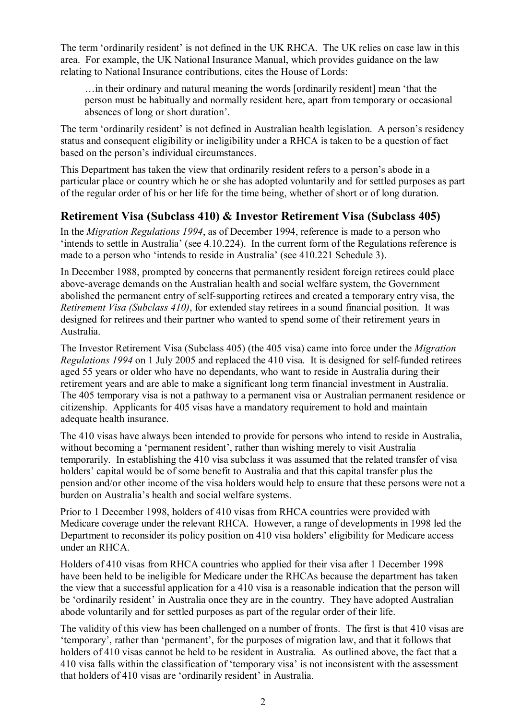The term 'ordinarily resident' is not defined in the UK RHCA. The UK relies on case law in this area. For example, the UK National Insurance Manual, which provides guidance on the law relating to National Insurance contributions, cites the House of Lords:

…in their ordinary and natural meaning the words [ordinarily resident] mean 'that the person must be habitually and normally resident here, apart from temporary or occasional absences of long or short duration'.

The term 'ordinarily resident' is not defined in Australian health legislation. A person's residency status and consequent eligibility or ineligibility under a RHCA is taken to be a question of fact based on the person's individual circumstances.

This Department has taken the view that ordinarily resident refers to a person's abode in a particular place or country which he or she has adopted voluntarily and for settled purposes as part of the regular order of his or her life for the time being, whether of short or of long duration.

## **Retirement Visa (Subclass 410) & Investor Retirement Visa (Subclass 405)**

In the *Migration Regulations 1994*, as of December 1994, reference is made to a person who 'intends to settle in Australia' (see 4.10.224). In the current form of the Regulations reference is made to a person who 'intends to reside in Australia' (see 410.221 Schedule 3).

In December 1988, prompted by concerns that permanently resident foreign retirees could place above-average demands on the Australian health and social welfare system, the Government abolished the permanent entry of self-supporting retirees and created a temporary entry visa, the *Retirement Visa (Subclass 410)*, for extended stay retirees in a sound financial position. It was designed for retirees and their partner who wanted to spend some of their retirement years in Australia.

The Investor Retirement Visa (Subclass 405) (the 405 visa) came into force under the *Migration Regulations 1994* on 1 July 2005 and replaced the 410 visa. It is designed for self-funded retirees aged 55 years or older who have no dependants, who want to reside in Australia during their retirement years and are able to make a significant long term financial investment in Australia. The 405 temporary visa is not a pathway to a permanent visa or Australian permanent residence or citizenship. Applicants for 405 visas have a mandatory requirement to hold and maintain adequate health insurance.

The 410 visas have always been intended to provide for persons who intend to reside in Australia, without becoming a 'permanent resident', rather than wishing merely to visit Australia temporarily. In establishing the 410 visa subclass it was assumed that the related transfer of visa holders' capital would be of some benefit to Australia and that this capital transfer plus the pension and/or other income of the visa holders would help to ensure that these persons were not a burden on Australia's health and social welfare systems.

Prior to 1 December 1998, holders of 410 visas from RHCA countries were provided with Medicare coverage under the relevant RHCA. However, a range of developments in 1998 led the Department to reconsider its policy position on 410 visa holders' eligibility for Medicare access under an RHCA.

Holders of 410 visas from RHCA countries who applied for their visa after 1 December 1998 have been held to be ineligible for Medicare under the RHCAs because the department has taken the view that a successful application for a 410 visa is a reasonable indication that the person will be 'ordinarily resident' in Australia once they are in the country. They have adopted Australian abode voluntarily and for settled purposes as part of the regular order of their life.

The validity of this view has been challenged on a number of fronts. The first is that 410 visas are 'temporary', rather than 'permanent', for the purposes of migration law, and that it follows that holders of 410 visas cannot be held to be resident in Australia. As outlined above, the fact that a 410 visa falls within the classification of 'temporary visa' is not inconsistent with the assessment that holders of 410 visas are 'ordinarily resident' in Australia.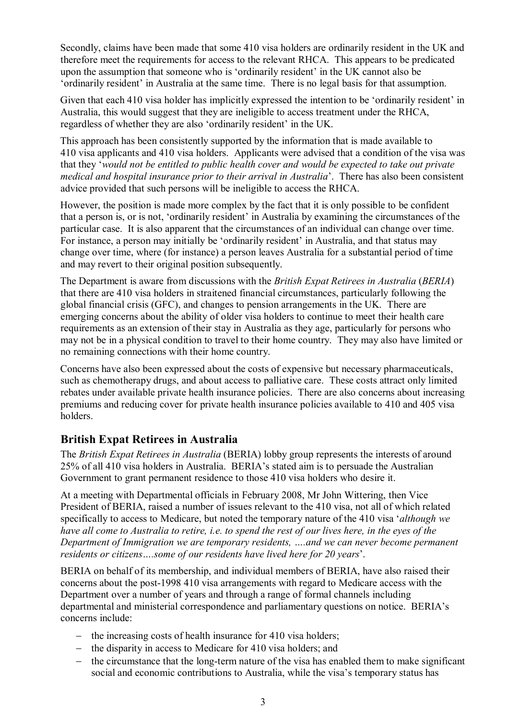Secondly, claims have been made that some 410 visa holders are ordinarily resident in the UK and therefore meet the requirements for access to the relevant RHCA. This appears to be predicated upon the assumption that someone who is 'ordinarily resident' in the UK cannot also be 'ordinarily resident' in Australia at the same time. There is no legal basis for that assumption.

Given that each 410 visa holder has implicitly expressed the intention to be 'ordinarily resident' in Australia, this would suggest that they are ineligible to access treatment under the RHCA, regardless of whether they are also 'ordinarily resident' in the UK.

This approach has been consistently supported by the information that is made available to 410 visa applicants and 410 visa holders. Applicants were advised that a condition of the visa was that they '*would not be entitled to public health cover and would be expected to take out private medical and hospital insurance prior to their arrival in Australia*'. There has also been consistent advice provided that such persons will be ineligible to access the RHCA.

However, the position is made more complex by the fact that it is only possible to be confident that a person is, or is not, 'ordinarily resident' in Australia by examining the circumstances of the particular case. It is also apparent that the circumstances of an individual can change over time. For instance, a person may initially be 'ordinarily resident' in Australia, and that status may change over time, where (for instance) a person leaves Australia for a substantial period of time and may revert to their original position subsequently.

The Department is aware from discussions with the *British Expat Retirees in Australia* (*BERIA*) that there are 410 visa holders in straitened financial circumstances, particularly following the global financial crisis (GFC), and changes to pension arrangements in the UK. There are emerging concerns about the ability of older visa holders to continue to meet their health care requirements as an extension of their stay in Australia as they age, particularly for persons who may not be in a physical condition to travel to their home country. They may also have limited or no remaining connections with their home country.

Concerns have also been expressed about the costs of expensive but necessary pharmaceuticals, such as chemotherapy drugs, and about access to palliative care. These costs attract only limited rebates under available private health insurance policies. There are also concerns about increasing premiums and reducing cover for private health insurance policies available to 410 and 405 visa holders.

# **British Expat Retirees in Australia**

The *British Expat Retirees in Australia* (BERIA) lobby group represents the interests of around 25% of all 410 visa holders in Australia. BERIA's stated aim is to persuade the Australian Government to grant permanent residence to those 410 visa holders who desire it.

At a meeting with Departmental officials in February 2008, Mr John Wittering, then Vice President of BERIA, raised a number of issues relevant to the 410 visa, not all of which related specifically to access to Medicare, but noted the temporary nature of the 410 visa '*although we have all come to Australia to retire, i.e. to spend the rest of our lives here, in the eyes of the Department of Immigration we are temporary residents, ….and we can never become permanent residents or citizens….some of our residents have lived here for 20 years*'.

BERIA on behalf of its membership, and individual members of BERIA, have also raised their concerns about the post-1998 410 visa arrangements with regard to Medicare access with the Department over a number of years and through a range of formal channels including departmental and ministerial correspondence and parliamentary questions on notice. BERIA's concerns include:

- $\theta$  the increasing costs of health insurance for 410 visa holders;
- the disparity in access to Medicare for 410 visa holders; and
- the circumstance that the long-term nature of the visa has enabled them to make significant social and economic contributions to Australia, while the visa's temporary status has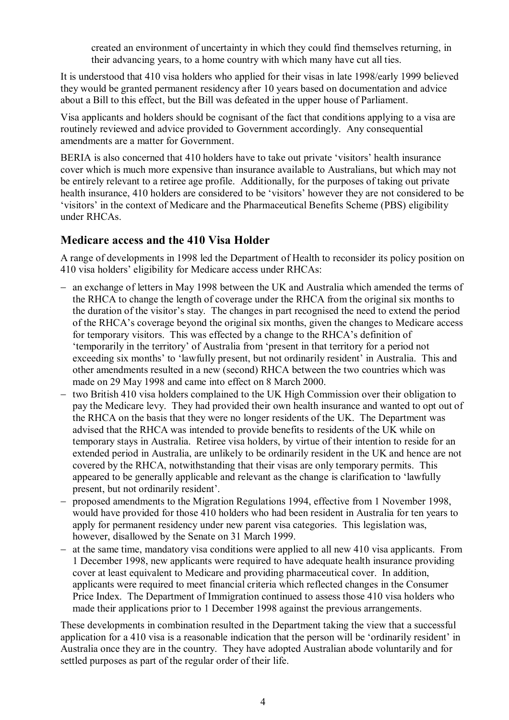created an environment of uncertainty in which they could find themselves returning, in their advancing years, to a home country with which many have cut all ties.

It is understood that 410 visa holders who applied for their visas in late 1998/early 1999 believed they would be granted permanent residency after 10 years based on documentation and advice about a Bill to this effect, but the Bill was defeated in the upper house of Parliament.

Visa applicants and holders should be cognisant of the fact that conditions applying to a visa are routinely reviewed and advice provided to Government accordingly. Any consequential amendments are a matter for Government.

BERIA is also concerned that 410 holders have to take out private 'visitors' health insurance cover which is much more expensive than insurance available to Australians, but which may not be entirely relevant to a retiree age profile. Additionally, for the purposes of taking out private health insurance, 410 holders are considered to be 'visitors' however they are not considered to be 'visitors' in the context of Medicare and the Pharmaceutical Benefits Scheme (PBS) eligibility under RHCAs.

#### **Medicare access and the 410 Visa Holder**

A range of developments in 1998 led the Department of Health to reconsider its policy position on 410 visa holders' eligibility for Medicare access under RHCAs:

- an exchange of letters in May 1998 between the UK and Australia which amended the terms of the RHCA to change the length of coverage under the RHCA from the original six months to the duration of the visitor's stay. The changes in part recognised the need to extend the period of the RHCA's coverage beyond the original six months, given the changes to Medicare access for temporary visitors. This was effected by a change to the RHCA's definition of 'temporarily in the territory' of Australia from 'present in that territory for a period not exceeding six months' to 'lawfully present, but not ordinarily resident' in Australia. This and other amendments resulted in a new (second) RHCA between the two countries which was made on 29 May 1998 and came into effect on 8 March 2000.
- two British 410 visa holders complained to the UK High Commission over their obligation to pay the Medicare levy. They had provided their own health insurance and wanted to opt out of the RHCA on the basis that they were no longer residents of the UK. The Department was advised that the RHCA was intended to provide benefits to residents of the UK while on temporary stays in Australia. Retiree visa holders, by virtue of their intention to reside for an extended period in Australia, are unlikely to be ordinarily resident in the UK and hence are not covered by the RHCA, notwithstanding that their visas are only temporary permits. This appeared to be generally applicable and relevant as the change is clarification to 'lawfully present, but not ordinarily resident'.
- proposed amendments to the Migration Regulations 1994, effective from 1 November 1998, would have provided for those 410 holders who had been resident in Australia for ten years to apply for permanent residency under new parent visa categories. This legislation was, however, disallowed by the Senate on 31 March 1999.
- $-$  at the same time, mandatory visa conditions were applied to all new 410 visa applicants. From 1 December 1998, new applicants were required to have adequate health insurance providing cover at least equivalent to Medicare and providing pharmaceutical cover. In addition, applicants were required to meet financial criteria which reflected changes in the Consumer Price Index. The Department of Immigration continued to assess those 410 visa holders who made their applications prior to 1 December 1998 against the previous arrangements.

These developments in combination resulted in the Department taking the view that a successful application for a 410 visa is a reasonable indication that the person will be 'ordinarily resident' in Australia once they are in the country. They have adopted Australian abode voluntarily and for settled purposes as part of the regular order of their life.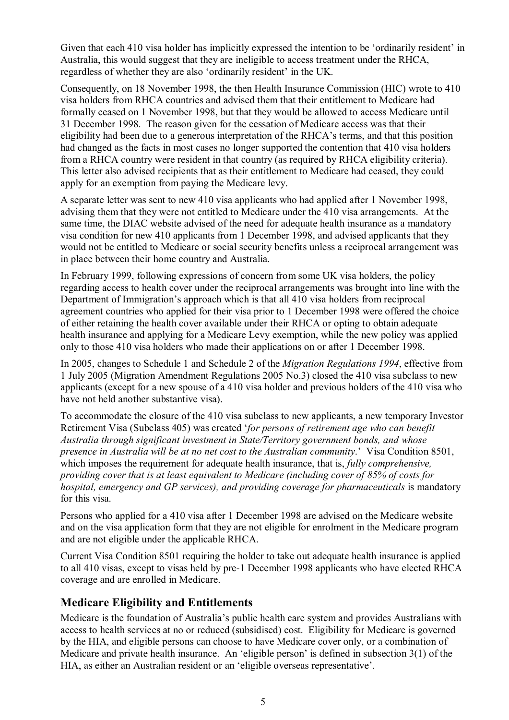Given that each 410 visa holder has implicitly expressed the intention to be 'ordinarily resident' in Australia, this would suggest that they are ineligible to access treatment under the RHCA, regardless of whether they are also 'ordinarily resident' in the UK.

Consequently, on 18 November 1998, the then Health Insurance Commission (HIC) wrote to 410 visa holders from RHCA countries and advised them that their entitlement to Medicare had formally ceased on 1 November 1998, but that they would be allowed to access Medicare until 31 December 1998. The reason given for the cessation of Medicare access was that their eligibility had been due to a generous interpretation of the RHCA's terms, and that this position had changed as the facts in most cases no longer supported the contention that 410 visa holders from a RHCA country were resident in that country (as required by RHCA eligibility criteria). This letter also advised recipients that as their entitlement to Medicare had ceased, they could apply for an exemption from paying the Medicare levy.

A separate letter was sent to new 410 visa applicants who had applied after 1 November 1998, advising them that they were not entitled to Medicare under the 410 visa arrangements. At the same time, the DIAC website advised of the need for adequate health insurance as a mandatory visa condition for new 410 applicants from 1 December 1998, and advised applicants that they would not be entitled to Medicare or social security benefits unless a reciprocal arrangement was in place between their home country and Australia.

In February 1999, following expressions of concern from some UK visa holders, the policy regarding access to health cover under the reciprocal arrangements was brought into line with the Department of Immigration's approach which is that all 410 visa holders from reciprocal agreement countries who applied for their visa prior to 1 December 1998 were offered the choice of either retaining the health cover available under their RHCA or opting to obtain adequate health insurance and applying for a Medicare Levy exemption, while the new policy was applied only to those 410 visa holders who made their applications on or after 1 December 1998.

In 2005, changes to Schedule 1 and Schedule 2 of the *Migration Regulations 1994*, effective from 1 July 2005 (Migration Amendment Regulations 2005 No.3) closed the 410 visa subclass to new applicants (except for a new spouse of a 410 visa holder and previous holders of the 410 visa who have not held another substantive visa).

To accommodate the closure of the 410 visa subclass to new applicants, a new temporary Investor Retirement Visa (Subclass 405) was created '*for persons of retirement age who can benefit Australia through significant investment in State/Territory government bonds, and whose presence in Australia will be at no net cost to the Australian community*.' Visa Condition 8501, which imposes the requirement for adequate health insurance, that is, *fully comprehensive*, *providing cover that is at least equivalent to Medicare (including cover of 85% of costs for hospital, emergency and GP services), and providing coverage for pharmaceuticals* is mandatory for this visa.

Persons who applied for a 410 visa after 1 December 1998 are advised on the Medicare website and on the visa application form that they are not eligible for enrolment in the Medicare program and are not eligible under the applicable RHCA.

Current Visa Condition 8501 requiring the holder to take out adequate health insurance is applied to all 410 visas, except to visas held by pre-1 December 1998 applicants who have elected RHCA coverage and are enrolled in Medicare.

#### **Medicare Eligibility and Entitlements**

Medicare is the foundation of Australia's public health care system and provides Australians with access to health services at no or reduced (subsidised) cost. Eligibility for Medicare is governed by the HIA, and eligible persons can choose to have Medicare cover only, or a combination of Medicare and private health insurance. An 'eligible person' is defined in subsection 3(1) of the HIA, as either an Australian resident or an 'eligible overseas representative'.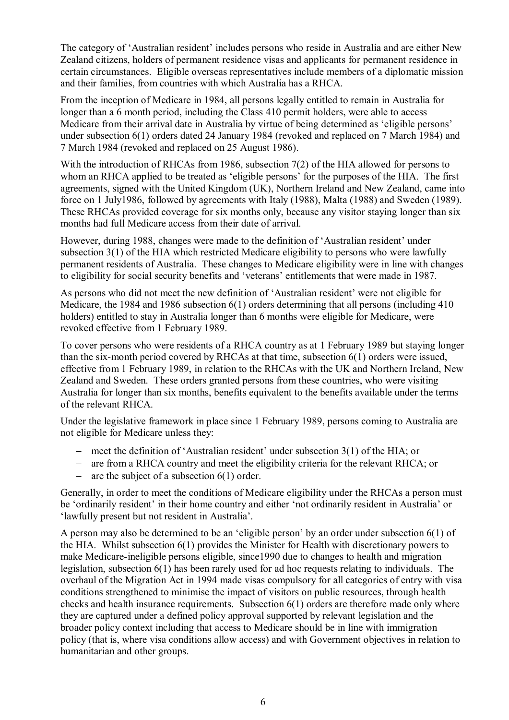The category of 'Australian resident' includes persons who reside in Australia and are either New Zealand citizens, holders of permanent residence visas and applicants for permanent residence in certain circumstances. Eligible overseas representatives include members of a diplomatic mission and their families, from countries with which Australia has a RHCA.

From the inception of Medicare in 1984, all persons legally entitled to remain in Australia for longer than a 6 month period, including the Class 410 permit holders, were able to access Medicare from their arrival date in Australia by virtue of being determined as 'eligible persons' under subsection 6(1) orders dated 24 January 1984 (revoked and replaced on 7 March 1984) and 7 March 1984 (revoked and replaced on 25 August 1986).

With the introduction of RHCAs from 1986, subsection 7(2) of the HIA allowed for persons to whom an RHCA applied to be treated as 'eligible persons' for the purposes of the HIA. The first agreements, signed with the United Kingdom (UK), Northern Ireland and New Zealand, came into force on 1 July1986, followed by agreements with Italy (1988), Malta (1988) and Sweden (1989). These RHCAs provided coverage for six months only, because any visitor staying longer than six months had full Medicare access from their date of arrival.

However, during 1988, changes were made to the definition of 'Australian resident' under subsection 3(1) of the HIA which restricted Medicare eligibility to persons who were lawfully permanent residents of Australia. These changes to Medicare eligibility were in line with changes to eligibility for social security benefits and 'veterans' entitlements that were made in 1987.

As persons who did not meet the new definition of 'Australian resident' were not eligible for Medicare, the 1984 and 1986 subsection 6(1) orders determining that all persons (including 410 holders) entitled to stay in Australia longer than 6 months were eligible for Medicare, were revoked effective from 1 February 1989.

To cover persons who were residents of a RHCA country as at 1 February 1989 but staying longer than the six-month period covered by RHCAs at that time, subsection 6(1) orders were issued, effective from 1 February 1989, in relation to the RHCAs with the UK and Northern Ireland, New Zealand and Sweden. These orders granted persons from these countries, who were visiting Australia for longer than six months, benefits equivalent to the benefits available under the terms of the relevant RHCA.

Under the legislative framework in place since 1 February 1989, persons coming to Australia are not eligible for Medicare unless they:

- meet the definition of 'Australian resident' under subsection 3(1) of the HIA; or
- are from a RHCA country and meet the eligibility criteria for the relevant RHCA; or
- are the subject of a subsection  $6(1)$  order.

Generally, in order to meet the conditions of Medicare eligibility under the RHCAs a person must be 'ordinarily resident' in their home country and either 'not ordinarily resident in Australia' or 'lawfully present but not resident in Australia'.

A person may also be determined to be an 'eligible person' by an order under subsection 6(1) of the HIA. Whilst subsection 6(1) provides the Minister for Health with discretionary powers to make Medicare-ineligible persons eligible, since1990 due to changes to health and migration legislation, subsection 6(1) has been rarely used for ad hoc requests relating to individuals. The overhaul of the Migration Act in 1994 made visas compulsory for all categories of entry with visa conditions strengthened to minimise the impact of visitors on public resources, through health checks and health insurance requirements. Subsection 6(1) orders are therefore made only where they are captured under a defined policy approval supported by relevant legislation and the broader policy context including that access to Medicare should be in line with immigration policy (that is, where visa conditions allow access) and with Government objectives in relation to humanitarian and other groups.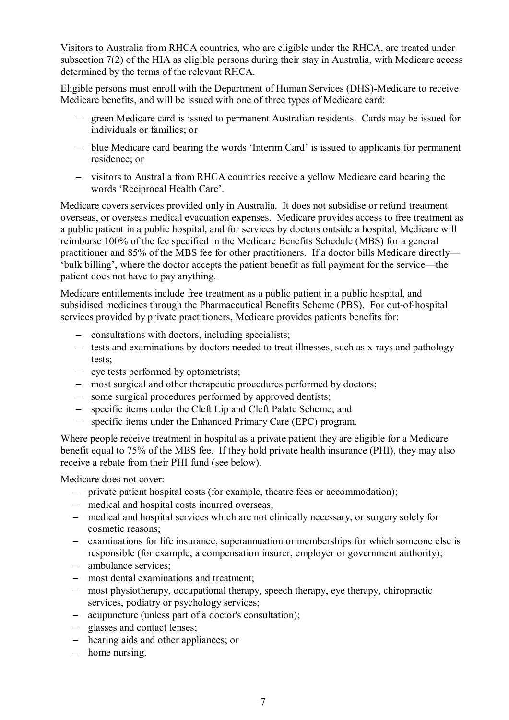Visitors to Australia from RHCA countries, who are eligible under the RHCA, are treated under subsection 7(2) of the HIA as eligible persons during their stay in Australia, with Medicare access determined by the terms of the relevant RHCA.

Eligible persons must enroll with the Department of Human Services (DHS)-Medicare to receive Medicare benefits, and will be issued with one of three types of Medicare card:

- green Medicare card is issued to permanent Australian residents. Cards may be issued for individuals or families; or
- blue Medicare card bearing the words 'Interim Card' is issued to applicants for permanent residence; or
- visitors to Australia from RHCA countries receive a yellow Medicare card bearing the words 'Reciprocal Health Care'.

Medicare covers services provided only in Australia. It does not subsidise or refund treatment overseas, or overseas medical evacuation expenses. Medicare provides access to free treatment as a public patient in a public hospital, and for services by doctors outside a hospital, Medicare will reimburse 100% of the fee specified in the Medicare Benefits Schedule (MBS) for a general practitioner and 85% of the MBS fee for other practitioners. If a doctor bills Medicare directly— 'bulk billing', where the doctor accepts the patient benefit as full payment for the service—the patient does not have to pay anything.

Medicare entitlements include free treatment as a public patient in a public hospital, and subsidised medicines through the Pharmaceutical Benefits Scheme (PBS). For out-of-hospital services provided by private practitioners, Medicare provides patients benefits for:

- consultations with doctors, including specialists;
- tests and examinations by doctors needed to treat illnesses, such as x-rays and pathology tests;
- eye tests performed by optometrists;
- most surgical and other therapeutic procedures performed by doctors;
- some surgical procedures performed by approved dentists;
- specific items under the Cleft Lip and Cleft Palate Scheme; and
- specific items under the Enhanced Primary Care (EPC) program.

Where people receive treatment in hospital as a private patient they are eligible for a Medicare benefit equal to 75% of the MBS fee. If they hold private health insurance (PHI), they may also receive a rebate from their PHI fund (see below).

Medicare does not cover:

- private patient hospital costs (for example, theatre fees or accommodation);
- medical and hospital costs incurred overseas;
- medical and hospital services which are not clinically necessary, or surgery solely for cosmetic reasons;
- examinations for life insurance, superannuation or memberships for which someone else is responsible (for example, a compensation insurer, employer or government authority);
- ambulance services;
- most dental examinations and treatment;
- most physiotherapy, occupational therapy, speech therapy, eye therapy, chiropractic services, podiatry or psychology services;
- acupuncture (unless part of a doctor's consultation);
- glasses and contact lenses;
- hearing aids and other appliances; or
- $-$  home nursing.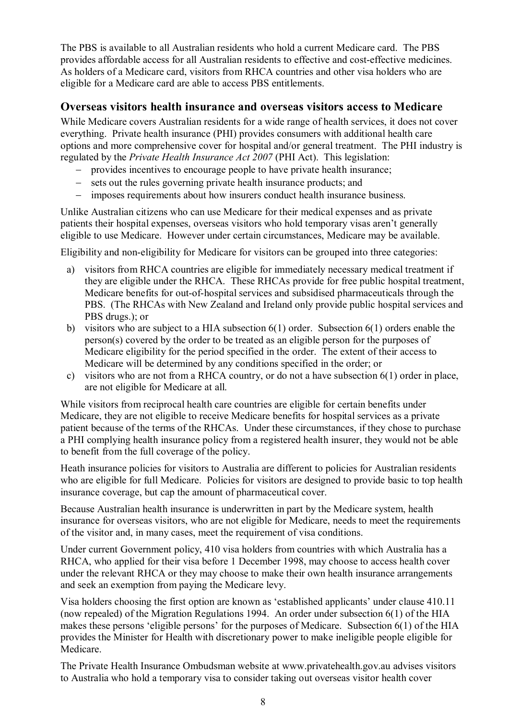The PBS is available to all Australian residents who hold a current Medicare card. The PBS provides affordable access for all Australian residents to effective and cost-effective medicines. As holders of a Medicare card, visitors from RHCA countries and other visa holders who are eligible for a Medicare card are able to access PBS entitlements.

#### **Overseas visitors health insurance and overseas visitors access to Medicare**

While Medicare covers Australian residents for a wide range of health services, it does not cover everything. Private health insurance (PHI) provides consumers with additional health care options and more comprehensive cover for hospital and/or general treatment. The PHI industry is regulated by the *Private Health Insurance Act 2007* (PHI Act). This legislation:

- provides incentives to encourage people to have private health insurance;
- sets out the rules governing private health insurance products; and
- imposes requirements about how insurers conduct health insurance business.

Unlike Australian citizens who can use Medicare for their medical expenses and as private patients their hospital expenses, overseas visitors who hold temporary visas aren't generally eligible to use Medicare. However under certain circumstances, Medicare may be available.

Eligibility and non-eligibility for Medicare for visitors can be grouped into three categories:

- a) visitors from RHCA countries are eligible for immediately necessary medical treatment if they are eligible under the RHCA. These RHCAs provide for free public hospital treatment, Medicare benefits for out-of-hospital services and subsidised pharmaceuticals through the PBS. (The RHCAs with New Zealand and Ireland only provide public hospital services and PBS drugs.); or
- b) visitors who are subject to a HIA subsection 6(1) order. Subsection 6(1) orders enable the person(s) covered by the order to be treated as an eligible person for the purposes of Medicare eligibility for the period specified in the order. The extent of their access to Medicare will be determined by any conditions specified in the order; or
- c) visitors who are not from a RHCA country, or do not a have subsection 6(1) order in place, are not eligible for Medicare at all.

While visitors from reciprocal health care countries are eligible for certain benefits under Medicare, they are not eligible to receive Medicare benefits for hospital services as a private patient because of the terms of the RHCAs. Under these circumstances, if they chose to purchase a PHI complying health insurance policy from a registered health insurer, they would not be able to benefit from the full coverage of the policy.

Heath insurance policies for visitors to Australia are different to policies for Australian residents who are eligible for full Medicare. Policies for visitors are designed to provide basic to top health insurance coverage, but cap the amount of pharmaceutical cover.

Because Australian health insurance is underwritten in part by the Medicare system, health insurance for overseas visitors, who are not eligible for Medicare, needs to meet the requirements of the visitor and, in many cases, meet the requirement of visa conditions.

Under current Government policy, 410 visa holders from countries with which Australia has a RHCA, who applied for their visa before 1 December 1998, may choose to access health cover under the relevant RHCA or they may choose to make their own health insurance arrangements and seek an exemption from paying the Medicare levy.

Visa holders choosing the first option are known as 'established applicants' under clause 410.11 (now repealed) of the Migration Regulations 1994. An order under subsection 6(1) of the HIA makes these persons 'eligible persons' for the purposes of Medicare. Subsection 6(1) of the HIA provides the Minister for Health with discretionary power to make ineligible people eligible for Medicare.

The Private Health Insurance Ombudsman website at www.privatehealth.gov.au advises visitors to Australia who hold a temporary visa to consider taking out overseas visitor health cover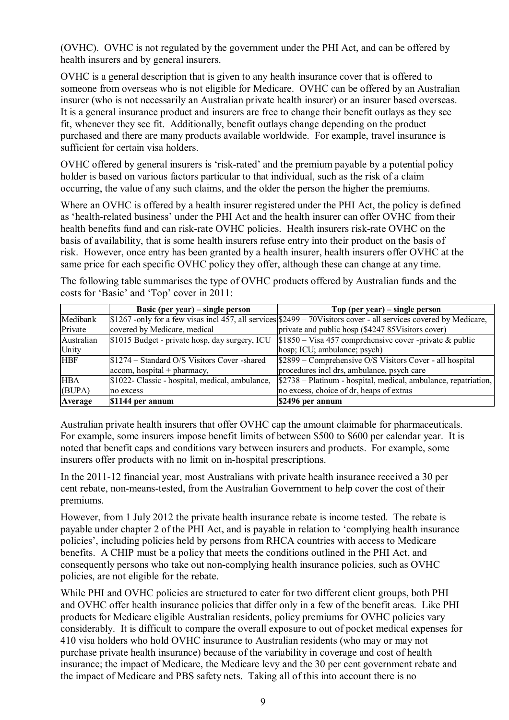(OVHC). OVHC is not regulated by the government under the PHI Act, and can be offered by health insurers and by general insurers.

OVHC is a general description that is given to any health insurance cover that is offered to someone from overseas who is not eligible for Medicare. OVHC can be offered by an Australian insurer (who is not necessarily an Australian private health insurer) or an insurer based overseas. It is a general insurance product and insurers are free to change their benefit outlays as they see fit, whenever they see fit. Additionally, benefit outlays change depending on the product purchased and there are many products available worldwide. For example, travel insurance is sufficient for certain visa holders.

OVHC offered by general insurers is 'risk-rated' and the premium payable by a potential policy holder is based on various factors particular to that individual, such as the risk of a claim occurring, the value of any such claims, and the older the person the higher the premiums.

Where an OVHC is offered by a health insurer registered under the PHI Act, the policy is defined as 'health-related business' under the PHI Act and the health insurer can offer OVHC from their health benefits fund and can risk-rate OVHC policies. Health insurers risk-rate OVHC on the basis of availability, that is some health insurers refuse entry into their product on the basis of risk. However, once entry has been granted by a health insurer, health insurers offer OVHC at the same price for each specific OVHC policy they offer, although these can change at any time.

The following table summarises the type of OVHC products offered by Australian funds and the costs for 'Basic' and 'Top' cover in 2011:

|            | Basic (per year) $-$ single person              | Top (per year) $-$ single person                                                                                    |
|------------|-------------------------------------------------|---------------------------------------------------------------------------------------------------------------------|
| Medibank   |                                                 | $$1267$ -only for a few visas incl 457, all services $$2499 - 70V$ istors cover - all services covered by Medicare, |
| Private    | covered by Medicare, medical                    | private and public hosp (\$4247 85 Visitors cover)                                                                  |
| Australian | \$1015 Budget - private hosp, day surgery, ICU  | $$1850 - V$ is a 457 comprehensive cover -private & public                                                          |
| Unity      |                                                 | hosp; ICU; ambulance; psych)                                                                                        |
| <b>HBF</b> | \$1274 – Standard O/S Visitors Cover -shared    | \$2899 – Comprehensive O/S Visitors Cover - all hospital                                                            |
|            | $ accom, hospital + pharmacy,$                  | procedures incl drs, ambulance, psych care                                                                          |
| <b>HBA</b> | \$1022- Classic - hospital, medical, ambulance, | \$2738 – Platinum - hospital, medical, ambulance, repatriation,                                                     |
| (BUPA)     | no excess                                       | no excess, choice of dr, heaps of extras                                                                            |
| Average    | \$1144 per annum                                | \$2496 per annum                                                                                                    |

Australian private health insurers that offer OVHC cap the amount claimable for pharmaceuticals. For example, some insurers impose benefit limits of between \$500 to \$600 per calendar year. It is noted that benefit caps and conditions vary between insurers and products. For example, some insurers offer products with no limit on in-hospital prescriptions.

In the 2011-12 financial year, most Australians with private health insurance received a 30 per cent rebate, non-means-tested, from the Australian Government to help cover the cost of their premiums.

However, from 1 July 2012 the private health insurance rebate is income tested. The rebate is payable under chapter 2 of the PHI Act, and is payable in relation to 'complying health insurance policies', including policies held by persons from RHCA countries with access to Medicare benefits. A CHIP must be a policy that meets the conditions outlined in the PHI Act, and consequently persons who take out non-complying health insurance policies, such as OVHC policies, are not eligible for the rebate.

While PHI and OVHC policies are structured to cater for two different client groups, both PHI and OVHC offer health insurance policies that differ only in a few of the benefit areas. Like PHI products for Medicare eligible Australian residents, policy premiums for OVHC policies vary considerably. It is difficult to compare the overall exposure to out of pocket medical expenses for 410 visa holders who hold OVHC insurance to Australian residents (who may or may not purchase private health insurance) because of the variability in coverage and cost of health insurance; the impact of Medicare, the Medicare levy and the 30 per cent government rebate and the impact of Medicare and PBS safety nets. Taking all of this into account there is no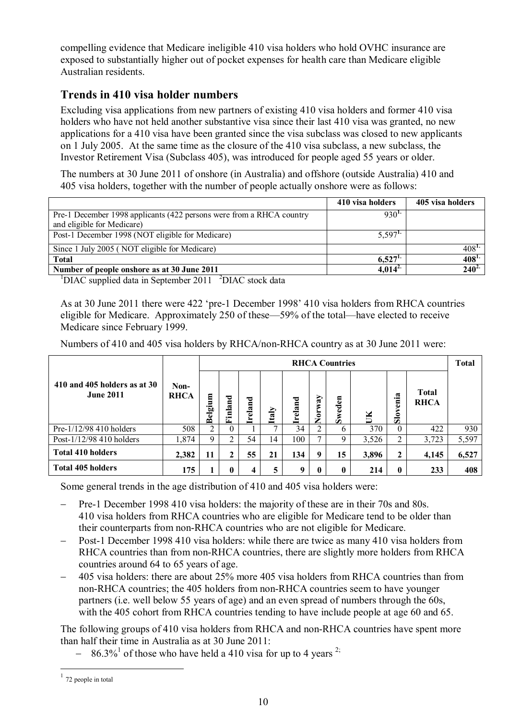compelling evidence that Medicare ineligible 410 visa holders who hold OVHC insurance are exposed to substantially higher out of pocket expenses for health care than Medicare eligible Australian residents.

## **Trends in 410 visa holder numbers**

Excluding visa applications from new partners of existing 410 visa holders and former 410 visa holders who have not held another substantive visa since their last 410 visa was granted, no new applications for a 410 visa have been granted since the visa subclass was closed to new applicants on 1 July 2005. At the same time as the closure of the 410 visa subclass, a new subclass, the Investor Retirement Visa (Subclass 405), was introduced for people aged 55 years or older.

The numbers at 30 June 2011 of onshore (in Australia) and offshore (outside Australia) 410 and 405 visa holders, together with the number of people actually onshore were as follows:

|                                                                      | 410 visa holders      | 405 visa holders |
|----------------------------------------------------------------------|-----------------------|------------------|
| Pre-1 December 1998 applicants (422 persons were from a RHCA country | 930 <sup>L</sup>      |                  |
| and eligible for Medicare)                                           |                       |                  |
| Post-1 December 1998 (NOT eligible for Medicare)                     | $5,597$ <sup>1.</sup> |                  |
| Since 1 July 2005 (NOT eligible for Medicare)                        |                       | $408^{1}$        |
| <b>Total</b>                                                         | $6,527$ <sup>1.</sup> | $408^{1.}$       |
| Number of people onshore as at 30 June 2011                          | $4,014^{2}$           | $240^{2}$        |

 $1$ DIAC supplied data in September 2011  $2$ DIAC stock data

As at 30 June 2011 there were 422 'pre-1 December 1998' 410 visa holders from RHCA countries eligible for Medicare. Approximately 250 of these—59% of the total—have elected to receive Medicare since February 1999.

Numbers of 410 and 405 visa holders by RHCA/non-RHCA country as at 30 June 2011 were:

|                                                  |                     | <b>RHCA Countries</b> |                        |         |              |         |                  |          |       |                          |                             |       |
|--------------------------------------------------|---------------------|-----------------------|------------------------|---------|--------------|---------|------------------|----------|-------|--------------------------|-----------------------------|-------|
| 410 and 405 holders as at 30<br><b>June 2011</b> | Non-<br><b>RHCA</b> | Belgium               | ರ<br>5<br>ಷ<br>ョ<br>Ŀ, | Ireland | Italy        | Ireland | Norway           | Sweden   | Ĕ     | enia<br>$S_{\text{low}}$ | <b>Total</b><br><b>RHCA</b> |       |
| Pre-1/12/98 410 holders                          | 508                 | 2                     | $^{(1)}$               |         | $\mathbf{r}$ | 34      | ↑                | 6        | 370   | $\theta$                 | 422                         | 930   |
| Post-1/12/98 410 holders                         | 1,874               | 9                     | ◠                      | 54      | 14           | 100     |                  | 9        | 3,526 | 2                        | 3,723                       | 5,597 |
| <b>Total 410 holders</b>                         | 2,382               | 11                    | ኅ                      | 55      | 21           | 134     | 9                | 15       | 3,896 | $\mathbf{2}$             | 4,145                       | 6,527 |
| <b>Total 405 holders</b>                         | 175                 |                       |                        |         |              | 9       | $\boldsymbol{0}$ | $\bf{0}$ | 214   | 0                        | 233                         | 408   |

Some general trends in the age distribution of 410 and 405 visa holders were:

- Pre-1 December 1998 410 visa holders: the majority of these are in their 70s and 80s. 410 visa holders from RHCA countries who are eligible for Medicare tend to be older than their counterparts from non-RHCA countries who are not eligible for Medicare.
- Post-1 December 1998 410 visa holders: while there are twice as many 410 visa holders from RHCA countries than from non-RHCA countries, there are slightly more holders from RHCA countries around 64 to 65 years of age.
- 405 visa holders: there are about 25% more 405 visa holders from RHCA countries than from non-RHCA countries; the 405 holders from non-RHCA countries seem to have younger partners (i.e. well below 55 years of age) and an even spread of numbers through the 60s, with the 405 cohort from RHCA countries tending to have include people at age 60 and 65.

The following groups of 410 visa holders from RHCA and non-RHCA countries have spent more than half their time in Australia as at 30 June 2011:

 $-86.3\%$ <sup>1</sup> of those who have held a 410 visa for up to 4 years <sup>2;</sup>

 $\overline{a}$ 

 $1$  72 people in total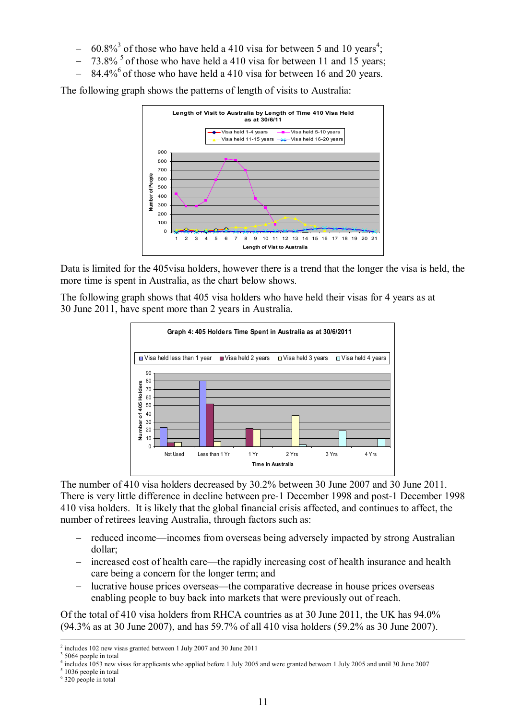- $-$  60.8%<sup>3</sup> of those who have held a 410 visa for between 5 and 10 years<sup>4</sup>;
- $-73.8\%$ <sup>5</sup> of those who have held a 410 visa for between 11 and 15 years;
- $84.4\%$ <sup>6</sup> of those who have held a 410 visa for between 16 and 20 years.

The following graph shows the patterns of length of visits to Australia:



Data is limited for the 405visa holders, however there is a trend that the longer the visa is held, the more time is spent in Australia, as the chart below shows.

The following graph shows that 405 visa holders who have held their visas for 4 years as at 30 June 2011, have spent more than 2 years in Australia.



The number of 410 visa holders decreased by 30.2% between 30 June 2007 and 30 June 2011. There is very little difference in decline between pre-1 December 1998 and post-1 December 1998 410 visa holders. It is likely that the global financial crisis affected, and continues to affect, the number of retirees leaving Australia, through factors such as:

- reduced income—incomes from overseas being adversely impacted by strong Australian dollar;
- increased cost of health care—the rapidly increasing cost of health insurance and health care being a concern for the longer term; and
- lucrative house prices overseas—the comparative decrease in house prices overseas enabling people to buy back into markets that were previously out of reach.

Of the total of 410 visa holders from RHCA countries as at 30 June 2011, the UK has 94.0% (94.3% as at 30 June 2007), and has 59.7% of all 410 visa holders (59.2% as 30 June 2007).

-

<sup>5</sup> 1036 people in total

<sup>2</sup> includes 102 new visas granted between 1 July 2007 and 30 June 2011

<sup>&</sup>lt;sup>3</sup> 5064 people in total

<sup>4</sup> includes 1053 new visas for applicants who applied before 1 July 2005 and were granted between 1 July 2005 and until 30 June 2007

<sup>6</sup> 320 people in total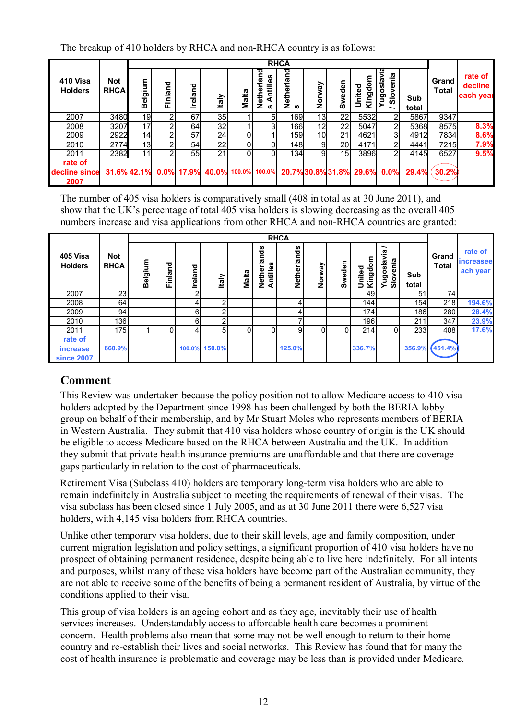The breakup of 410 holders by RHCA and non-RHCA country is as follows:

|                                  |                           |         | <b>RHCA</b> |         |                                            |              |                                     |                 |                |                 |                       |                           |              |                       |                                 |
|----------------------------------|---------------------------|---------|-------------|---------|--------------------------------------------|--------------|-------------------------------------|-----------------|----------------|-----------------|-----------------------|---------------------------|--------------|-----------------------|---------------------------------|
| 410 Visa<br><b>Holders</b>       | <b>Not</b><br><b>RHCA</b> | Belgium | Finland     | Ireland | <b>Italy</b>                               | <b>Malta</b> | 뎥<br>Antilles<br>Nether<br><b>S</b> | Netherland<br>ഗ | λg<br>ō<br>Z   | Swede           | 틍<br>United<br>Kingde | nia<br>T<br>ugosla<br>န္တ | Sub<br>total | Grand<br><b>Total</b> | rate of<br>decline<br>each year |
| 2007                             | 3480                      | 19      |             | 67      | 35                                         |              | 51                                  | 169             | 13             | 22              | 5532                  | 21                        | 5867         | 9347                  |                                 |
| 2008                             | 3207                      | 17      |             | 64      | 32                                         |              |                                     | 166             | 12             | 22              | 5047                  | $\mathbf{2}$              | 5368         | 8575                  | 8.3%                            |
| 2009                             | 2922                      | 14      | 2           | 57      | 24 <sub>l</sub>                            |              |                                     | 159             | 10             | 21              | 4621                  | 31                        | 4912         | 7834                  | 8.6%                            |
| 2010                             | 2774                      | 13      |             | 54      | 22                                         |              |                                     | 148             | 9 <sub>l</sub> | 20              | 4171                  | $\overline{2}$            | 4441         | 7215                  | 7.9%                            |
| 2011                             | 2382                      | 11      | 2           | 55      | 21                                         |              | ΩI                                  | 134             | $\overline{9}$ | 15 <sub>l</sub> | 3896                  | $\overline{2}$            | 4145         | 6527                  | 9.5%                            |
| rate of<br>decline since<br>2007 |                           |         |             |         | 31.6% 42.1% 0.0% 17.9% 40.0% 100.0% 100.0% |              |                                     |                 |                |                 | 20.7%30.8%31.8% 29.6% | 0.0%                      | 29.4%        | 30.2%                 |                                 |

The number of 405 visa holders is comparatively small (408 in total as at 30 June 2011), and show that the UK's percentage of total 405 visa holders is slowing decreasing as the overall 405 numbers increase and visa applications from other RHCA and non-RHCA countries are granted:

|                                                                                                                                                                                                                                                                                                                                                                                                                                                                                                                                                                                                                                                                                                                                                                                                                                                                                                                                                                                                                                                                                                                                       |                    |              | <b>RHCA</b>    |                     |                                  |              |                         |                     |        |        |                   |                          |              |                       |                                         |
|---------------------------------------------------------------------------------------------------------------------------------------------------------------------------------------------------------------------------------------------------------------------------------------------------------------------------------------------------------------------------------------------------------------------------------------------------------------------------------------------------------------------------------------------------------------------------------------------------------------------------------------------------------------------------------------------------------------------------------------------------------------------------------------------------------------------------------------------------------------------------------------------------------------------------------------------------------------------------------------------------------------------------------------------------------------------------------------------------------------------------------------|--------------------|--------------|----------------|---------------------|----------------------------------|--------------|-------------------------|---------------------|--------|--------|-------------------|--------------------------|--------------|-----------------------|-----------------------------------------|
| 405 Visa<br><b>Holders</b>                                                                                                                                                                                                                                                                                                                                                                                                                                                                                                                                                                                                                                                                                                                                                                                                                                                                                                                                                                                                                                                                                                            | Not<br><b>RHCA</b> | Belgium      | <b>Finland</b> | Ireland             | taly                             | <b>Malta</b> | Netherlands<br>Antilles | Netherlands         | Norway | Sweden | Kingdom<br>United | Yugoslavia /<br>Slovenia | Sub<br>total | Grand<br><b>Total</b> | rate of<br><b>increasee</b><br>ach year |
| 2007                                                                                                                                                                                                                                                                                                                                                                                                                                                                                                                                                                                                                                                                                                                                                                                                                                                                                                                                                                                                                                                                                                                                  | $\overline{23}$    |              |                | $\overline{c}$      |                                  |              |                         |                     |        |        | 49                |                          | 51           | $\overline{74}$       |                                         |
| 2008                                                                                                                                                                                                                                                                                                                                                                                                                                                                                                                                                                                                                                                                                                                                                                                                                                                                                                                                                                                                                                                                                                                                  | 64                 |              |                | $\overline{4}$      | $\overline{\mathbf{c}}$          |              |                         | $\overline{4}$      |        |        | 144               |                          | 154          | 218                   | 194.6%                                  |
| 2009                                                                                                                                                                                                                                                                                                                                                                                                                                                                                                                                                                                                                                                                                                                                                                                                                                                                                                                                                                                                                                                                                                                                  | 94                 |              |                | 6                   | $\overline{2}$                   |              |                         | $\overline{4}$      |        |        | 174               |                          | 186          | 280                   | 28.4%                                   |
| 2010<br>2011                                                                                                                                                                                                                                                                                                                                                                                                                                                                                                                                                                                                                                                                                                                                                                                                                                                                                                                                                                                                                                                                                                                          | 136<br>175         | $\mathbf{1}$ | 0              | $\overline{6}$<br>4 | $\overline{2}$<br>$\overline{5}$ | 0            | $\overline{0}$          | $\overline{7}$<br>9 | 0      | 0      | 196<br>214        | 0                        | 211<br>233   | 347<br>408            | 23.9%<br>17.6%                          |
| rate of                                                                                                                                                                                                                                                                                                                                                                                                                                                                                                                                                                                                                                                                                                                                                                                                                                                                                                                                                                                                                                                                                                                               |                    |              |                |                     |                                  |              |                         |                     |        |        |                   |                          |              |                       |                                         |
| increase                                                                                                                                                                                                                                                                                                                                                                                                                                                                                                                                                                                                                                                                                                                                                                                                                                                                                                                                                                                                                                                                                                                              | 660.9%             |              |                |                     | 100.0% 150.0%                    |              |                         | 125.0%              |        |        | 336.7%            |                          | 356.9%       | (451.4%               |                                         |
| <b>since 2007</b>                                                                                                                                                                                                                                                                                                                                                                                                                                                                                                                                                                                                                                                                                                                                                                                                                                                                                                                                                                                                                                                                                                                     |                    |              |                |                     |                                  |              |                         |                     |        |        |                   |                          |              |                       |                                         |
| This Review was undertaken because the policy position not to allow Medicare access to 410 visa<br>holders adopted by the Department since 1998 has been challenged by both the BERIA lobby<br>group on behalf of their membership, and by Mr Stuart Moles who represents members of BERIA<br>in Western Australia. They submit that 410 visa holders whose country of origin is the UK should<br>be eligible to access Medicare based on the RHCA between Australia and the UK. In addition<br>they submit that private health insurance premiums are unaffordable and that there are coverage<br>gaps particularly in relation to the cost of pharmaceuticals.<br>Retirement Visa (Subclass 410) holders are temporary long-term visa holders who are able to<br>remain indefinitely in Australia subject to meeting the requirements of renewal of their visas. The<br>visa subclass has been closed since 1 July 2005, and as at 30 June 2011 there were 6,527 visa<br>holders, with 4,145 visa holders from RHCA countries.<br>Unlike other temporary visa holders, due to their skill levels, age and family composition, under |                    |              |                |                     |                                  |              |                         |                     |        |        |                   |                          |              |                       |                                         |
| current migration legislation and policy settings, a significant proportion of 410 visa holders have no<br>prospect of obtaining permanent residence, despite being able to live here indefinitely. For all intents<br>and purposes, whilst many of these visa holders have become part of the Australian community, they<br>are not able to receive some of the benefits of being a permanent resident of Australia, by virtue of the<br>conditions applied to their visa.<br>This group of visa holders is an ageing cohort and as they age, inevitably their use of health<br>services increases. Understandably access to affordable health care becomes a prominent<br>concern. Health problems also mean that some may not be well enough to return to their home<br>country and re-establish their lives and social networks. This Review has found that for many the                                                                                                                                                                                                                                                          |                    |              |                |                     |                                  |              |                         |                     |        |        |                   |                          |              |                       |                                         |

# **Comment**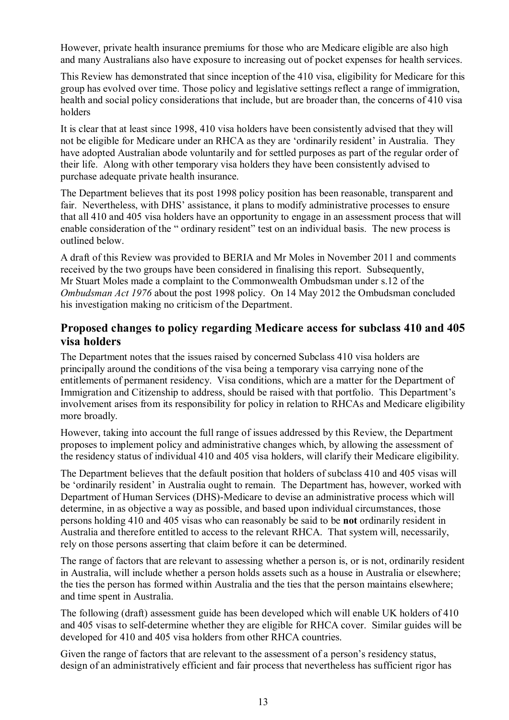However, private health insurance premiums for those who are Medicare eligible are also high and many Australians also have exposure to increasing out of pocket expenses for health services.

This Review has demonstrated that since inception of the 410 visa, eligibility for Medicare for this group has evolved over time. Those policy and legislative settings reflect a range of immigration, health and social policy considerations that include, but are broader than, the concerns of 410 visa holders

It is clear that at least since 1998, 410 visa holders have been consistently advised that they will not be eligible for Medicare under an RHCA as they are 'ordinarily resident' in Australia. They have adopted Australian abode voluntarily and for settled purposes as part of the regular order of their life. Along with other temporary visa holders they have been consistently advised to purchase adequate private health insurance.

The Department believes that its post 1998 policy position has been reasonable, transparent and fair. Nevertheless, with DHS' assistance, it plans to modify administrative processes to ensure that all 410 and 405 visa holders have an opportunity to engage in an assessment process that will enable consideration of the " ordinary resident" test on an individual basis. The new process is outlined below.

A draft of this Review was provided to BERIA and Mr Moles in November 2011 and comments received by the two groups have been considered in finalising this report. Subsequently, Mr Stuart Moles made a complaint to the Commonwealth Ombudsman under s.12 of the *Ombudsman Act 1976* about the post 1998 policy. On 14 May 2012 the Ombudsman concluded his investigation making no criticism of the Department.

#### **Proposed changes to policy regarding Medicare access for subclass 410 and 405 visa holders**

The Department notes that the issues raised by concerned Subclass 410 visa holders are principally around the conditions of the visa being a temporary visa carrying none of the entitlements of permanent residency. Visa conditions, which are a matter for the Department of Immigration and Citizenship to address, should be raised with that portfolio. This Department's involvement arises from its responsibility for policy in relation to RHCAs and Medicare eligibility more broadly.

However, taking into account the full range of issues addressed by this Review, the Department proposes to implement policy and administrative changes which, by allowing the assessment of the residency status of individual 410 and 405 visa holders, will clarify their Medicare eligibility.

The Department believes that the default position that holders of subclass 410 and 405 visas will be 'ordinarily resident' in Australia ought to remain. The Department has, however, worked with Department of Human Services (DHS)-Medicare to devise an administrative process which will determine, in as objective a way as possible, and based upon individual circumstances, those persons holding 410 and 405 visas who can reasonably be said to be **not** ordinarily resident in Australia and therefore entitled to access to the relevant RHCA. That system will, necessarily, rely on those persons asserting that claim before it can be determined.

The range of factors that are relevant to assessing whether a person is, or is not, ordinarily resident in Australia, will include whether a person holds assets such as a house in Australia or elsewhere; the ties the person has formed within Australia and the ties that the person maintains elsewhere; and time spent in Australia.

The following (draft) assessment guide has been developed which will enable UK holders of 410 and 405 visas to self-determine whether they are eligible for RHCA cover. Similar guides will be developed for 410 and 405 visa holders from other RHCA countries.

Given the range of factors that are relevant to the assessment of a person's residency status, design of an administratively efficient and fair process that nevertheless has sufficient rigor has